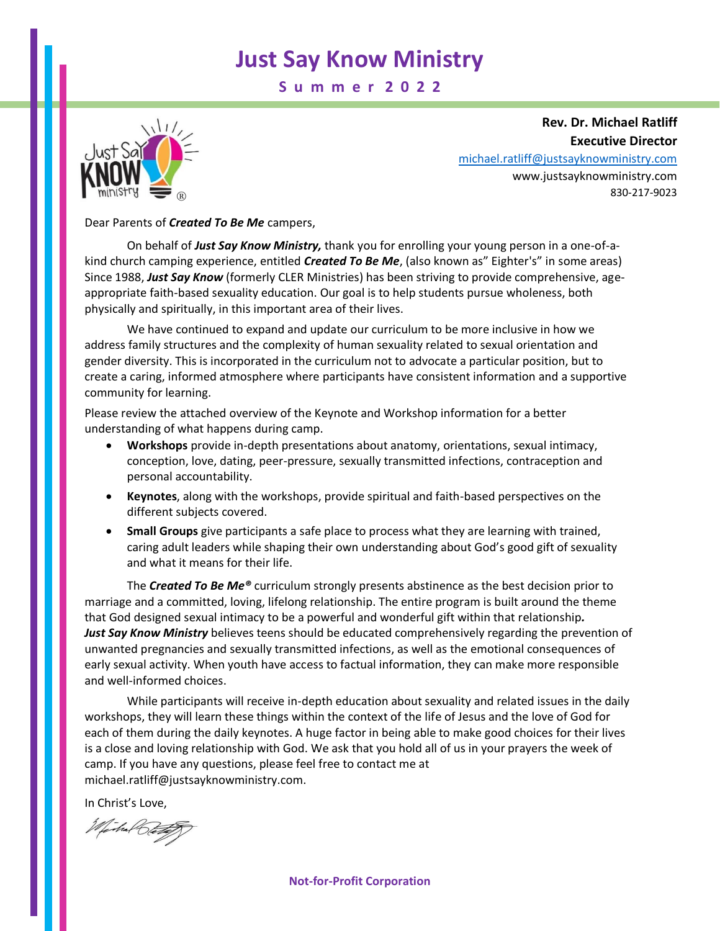**S u m m e r 2 0 2 2**



**Rev. Dr. Michael Ratliff Executive Director** [michael.ratliff@justsayknowministry.com](mailto:michael.ratliff@justsayknowministry.com)

www.justsayknowministry.com 830-217-9023

#### Dear Parents of *Created To Be Me* campers,

On behalf of *Just Say Know Ministry,* thank you for enrolling your young person in a one-of-akind church camping experience, entitled *Created To Be Me*, (also known as" Eighter's" in some areas) Since 1988, *Just Say Know* (formerly CLER Ministries) has been striving to provide comprehensive, ageappropriate faith-based sexuality education. Our goal is to help students pursue wholeness, both physically and spiritually, in this important area of their lives.

We have continued to expand and update our curriculum to be more inclusive in how we address family structures and the complexity of human sexuality related to sexual orientation and gender diversity. This is incorporated in the curriculum not to advocate a particular position, but to create a caring, informed atmosphere where participants have consistent information and a supportive community for learning.

Please review the attached overview of the Keynote and Workshop information for a better understanding of what happens during camp.

- **Workshops** provide in-depth presentations about anatomy, orientations, sexual intimacy, conception, love, dating, peer-pressure, sexually transmitted infections, contraception and personal accountability.
- **Keynotes**, along with the workshops, provide spiritual and faith-based perspectives on the different subjects covered.
- **Small Groups** give participants a safe place to process what they are learning with trained, caring adult leaders while shaping their own understanding about God's good gift of sexuality and what it means for their life.

The *Created To Be Me®* curriculum strongly presents abstinence as the best decision prior to marriage and a committed, loving, lifelong relationship. The entire program is built around the theme that God designed sexual intimacy to be a powerful and wonderful gift within that relationship*. Just Say Know Ministry* believes teens should be educated comprehensively regarding the prevention of unwanted pregnancies and sexually transmitted infections, as well as the emotional consequences of early sexual activity. When youth have access to factual information, they can make more responsible and well-informed choices.

While participants will receive in-depth education about sexuality and related issues in the daily workshops, they will learn these things within the context of the life of Jesus and the love of God for each of them during the daily keynotes. A huge factor in being able to make good choices for their lives is a close and loving relationship with God. We ask that you hold all of us in your prayers the week of camp. If you have any questions, please feel free to contact me at michael.ratliff@justsayknowministry.com.

In Christ's Love,

The Rets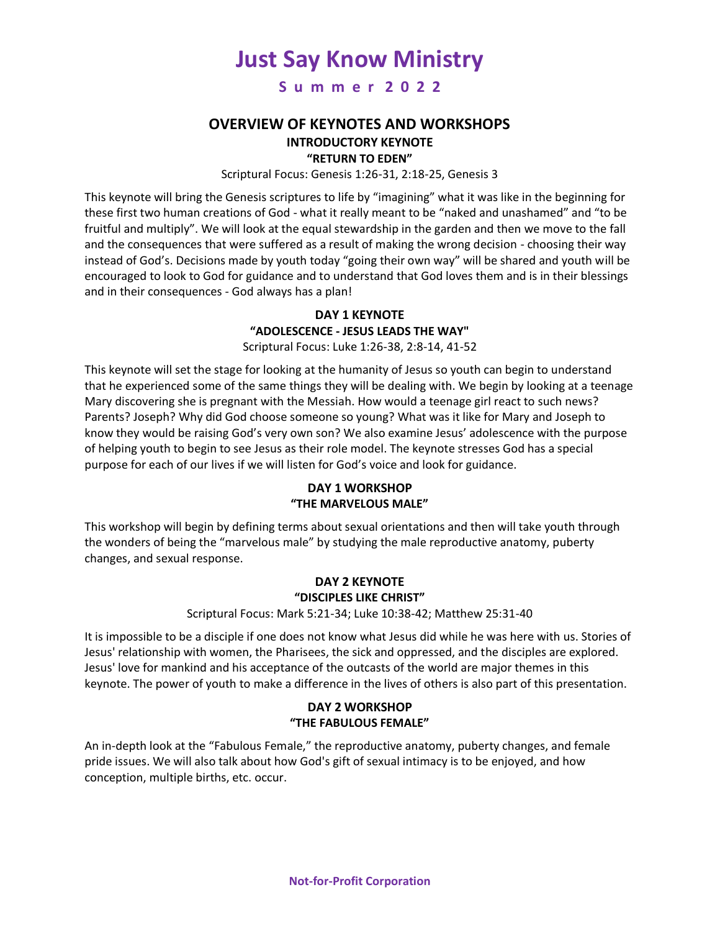**S u m m e r 2 0 2 2**

## **OVERVIEW OF KEYNOTES AND WORKSHOPS INTRODUCTORY KEYNOTE**

# **"RETURN TO EDEN"**

Scriptural Focus: Genesis 1:26-31, 2:18-25, Genesis 3

This keynote will bring the Genesis scriptures to life by "imagining" what it was like in the beginning for these first two human creations of God - what it really meant to be "naked and unashamed" and "to be fruitful and multiply". We will look at the equal stewardship in the garden and then we move to the fall and the consequences that were suffered as a result of making the wrong decision - choosing their way instead of God's. Decisions made by youth today "going their own way" will be shared and youth will be encouraged to look to God for guidance and to understand that God loves them and is in their blessings and in their consequences - God always has a plan!

## **DAY 1 KEYNOTE "ADOLESCENCE - JESUS LEADS THE WAY"**

Scriptural Focus: Luke 1:26-38, 2:8-14, 41-52

This keynote will set the stage for looking at the humanity of Jesus so youth can begin to understand that he experienced some of the same things they will be dealing with. We begin by looking at a teenage Mary discovering she is pregnant with the Messiah. How would a teenage girl react to such news? Parents? Joseph? Why did God choose someone so young? What was it like for Mary and Joseph to know they would be raising God's very own son? We also examine Jesus' adolescence with the purpose of helping youth to begin to see Jesus as their role model. The keynote stresses God has a special purpose for each of our lives if we will listen for God's voice and look for guidance.

### **DAY 1 WORKSHOP "THE MARVELOUS MALE"**

This workshop will begin by defining terms about sexual orientations and then will take youth through the wonders of being the "marvelous male" by studying the male reproductive anatomy, puberty changes, and sexual response.

#### **DAY 2 KEYNOTE "DISCIPLES LIKE CHRIST"**

#### Scriptural Focus: Mark 5:21-34; Luke 10:38-42; Matthew 25:31-40

It is impossible to be a disciple if one does not know what Jesus did while he was here with us. Stories of Jesus' relationship with women, the Pharisees, the sick and oppressed, and the disciples are explored. Jesus' love for mankind and his acceptance of the outcasts of the world are major themes in this keynote. The power of youth to make a difference in the lives of others is also part of this presentation.

#### **DAY 2 WORKSHOP "THE FABULOUS FEMALE"**

An in-depth look at the "Fabulous Female," the reproductive anatomy, puberty changes, and female pride issues. We will also talk about how God's gift of sexual intimacy is to be enjoyed, and how conception, multiple births, etc. occur.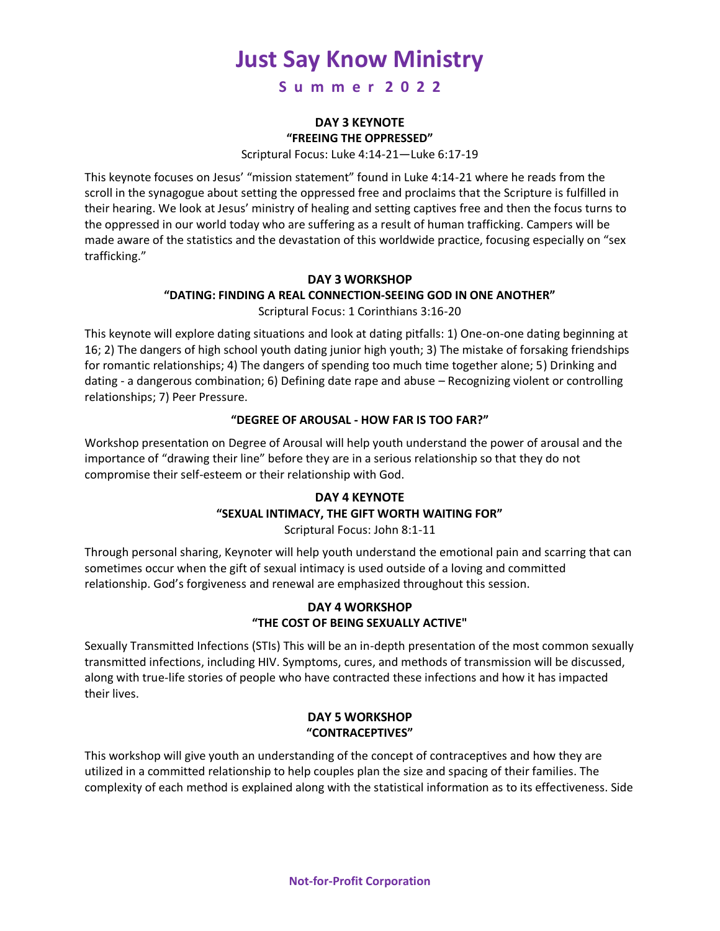**S u m m e r 2 0 2 2**

#### **DAY 3 KEYNOTE "FREEING THE OPPRESSED"**

Scriptural Focus: Luke 4:14-21—Luke 6:17-19

This keynote focuses on Jesus' "mission statement" found in Luke 4:14-21 where he reads from the scroll in the synagogue about setting the oppressed free and proclaims that the Scripture is fulfilled in their hearing. We look at Jesus' ministry of healing and setting captives free and then the focus turns to the oppressed in our world today who are suffering as a result of human trafficking. Campers will be made aware of the statistics and the devastation of this worldwide practice, focusing especially on "sex trafficking."

### **DAY 3 WORKSHOP "DATING: FINDING A REAL CONNECTION-SEEING GOD IN ONE ANOTHER"** Scriptural Focus: 1 Corinthians 3:16-20

This keynote will explore dating situations and look at dating pitfalls: 1) One-on-one dating beginning at 16; 2) The dangers of high school youth dating junior high youth; 3) The mistake of forsaking friendships for romantic relationships; 4) The dangers of spending too much time together alone; 5) Drinking and dating - a dangerous combination; 6) Defining date rape and abuse – Recognizing violent or controlling relationships; 7) Peer Pressure.

### **"DEGREE OF AROUSAL - HOW FAR IS TOO FAR?"**

Workshop presentation on Degree of Arousal will help youth understand the power of arousal and the importance of "drawing their line" before they are in a serious relationship so that they do not compromise their self-esteem or their relationship with God.

# **DAY 4 KEYNOTE**

#### **"SEXUAL INTIMACY, THE GIFT WORTH WAITING FOR"**

Scriptural Focus: John 8:1-11

Through personal sharing, Keynoter will help youth understand the emotional pain and scarring that can sometimes occur when the gift of sexual intimacy is used outside of a loving and committed relationship. God's forgiveness and renewal are emphasized throughout this session.

### **DAY 4 WORKSHOP "THE COST OF BEING SEXUALLY ACTIVE"**

Sexually Transmitted Infections (STIs) This will be an in-depth presentation of the most common sexually transmitted infections, including HIV. Symptoms, cures, and methods of transmission will be discussed, along with true-life stories of people who have contracted these infections and how it has impacted their lives.

#### **DAY 5 WORKSHOP "CONTRACEPTIVES"**

This workshop will give youth an understanding of the concept of contraceptives and how they are utilized in a committed relationship to help couples plan the size and spacing of their families. The complexity of each method is explained along with the statistical information as to its effectiveness. Side